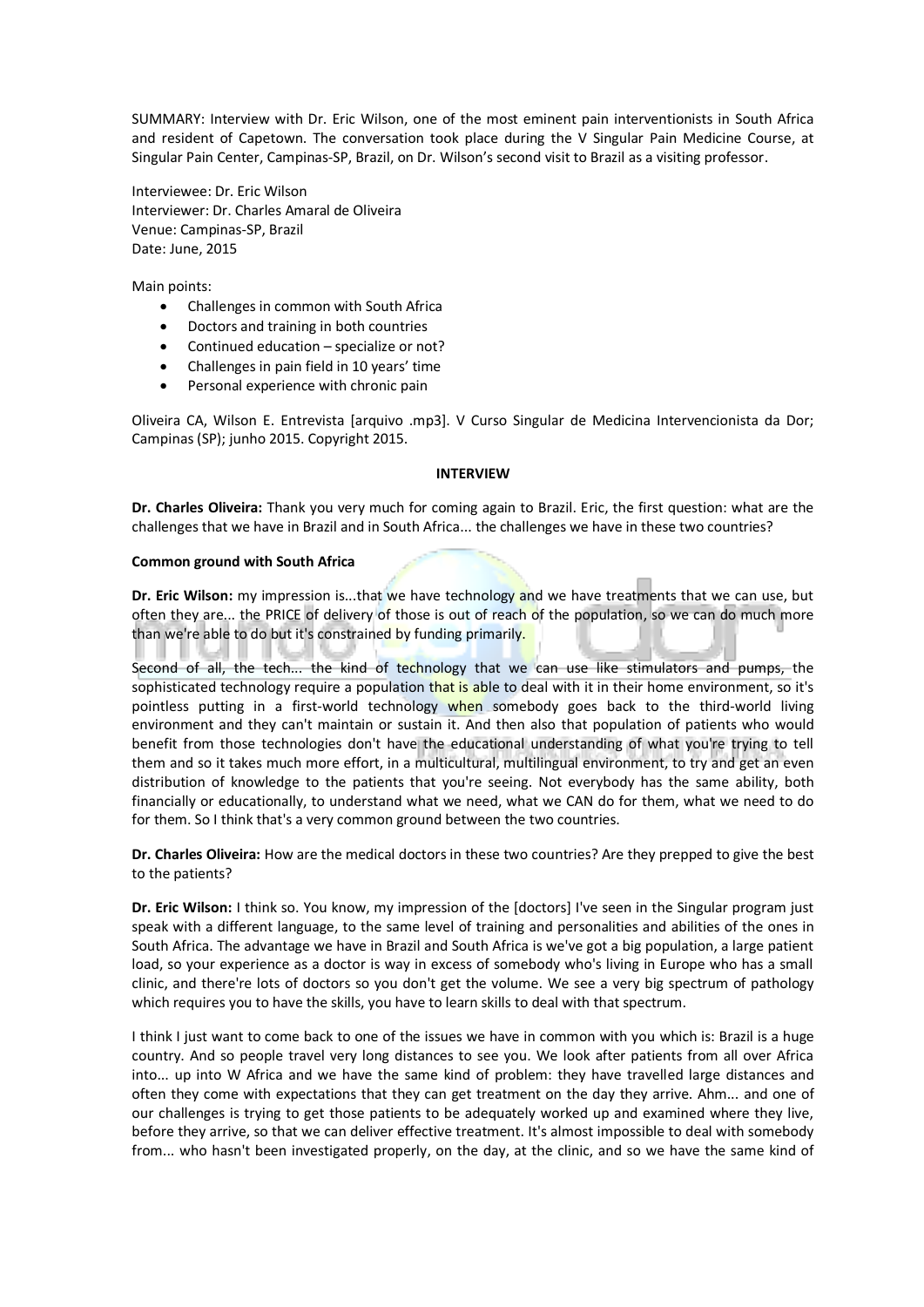SUMMARY: Interview with Dr. Eric Wilson, one of the most eminent pain interventionists in South Africa and resident of Capetown. The conversation took place during the V Singular Pain Medicine Course, at Singular Pain Center, Campinas-SP, Brazil, on Dr. Wilson's second visit to Brazil as a visiting professor.

Interviewee: Dr. Eric Wilson Interviewer: Dr. Charles Amaral de Oliveira Venue: Campinas-SP, Brazil Date: June, 2015

Main points:

- Challenges in common with South Africa
- Doctors and training in both countries
- Continued education specialize or not?
- Challenges in pain field in 10 years' time
- Personal experience with chronic pain

Oliveira CA, Wilson E. Entrevista [arquivo .mp3]. V Curso Singular de Medicina Intervencionista da Dor; Campinas (SP); junho 2015. Copyright 2015.

### **INTERVIEW**

**Dr. Charles Oliveira:** Thank you very much for coming again to Brazil. Eric, the first question: what are the challenges that we have in Brazil and in South Africa... the challenges we have in these two countries?

#### **Common ground with South Africa**

**Dr. Eric Wilson:** my impression is...that we have technology and we have treatments that we can use, but often they are... the PRICE of delivery of those is out of reach of the population, so we can do much more than we're able to do but it's constrained by funding primarily.

Second of all, the tech... the kind of technology that we can use like stimulators and pumps, the sophisticated technology require a population that is able to deal with it in their home environment, so it's pointless putting in a first-world technology when somebody goes back to the third-world living environment and they can't maintain or sustain it. And then also that population of patients who would benefit from those technologies don't have the educational understanding of what you're trying to tell them and so it takes much more effort, in a multicultural, multilingual environment, to try and get an even distribution of knowledge to the patients that you're seeing. Not everybody has the same ability, both financially or educationally, to understand what we need, what we CAN do for them, what we need to do for them. So I think that's a very common ground between the two countries.

**Dr. Charles Oliveira:** How are the medical doctors in these two countries? Are they prepped to give the best to the patients?

**Dr. Eric Wilson:** I think so. You know, my impression of the [doctors] I've seen in the Singular program just speak with a different language, to the same level of training and personalities and abilities of the ones in South Africa. The advantage we have in Brazil and South Africa is we've got a big population, a large patient load, so your experience as a doctor is way in excess of somebody who's living in Europe who has a small clinic, and there're lots of doctors so you don't get the volume. We see a very big spectrum of pathology which requires you to have the skills, you have to learn skills to deal with that spectrum.

I think I just want to come back to one of the issues we have in common with you which is: Brazil is a huge country. And so people travel very long distances to see you. We look after patients from all over Africa into... up into W Africa and we have the same kind of problem: they have travelled large distances and often they come with expectations that they can get treatment on the day they arrive. Ahm... and one of our challenges is trying to get those patients to be adequately worked up and examined where they live, before they arrive, so that we can deliver effective treatment. It's almost impossible to deal with somebody from... who hasn't been investigated properly, on the day, at the clinic, and so we have the same kind of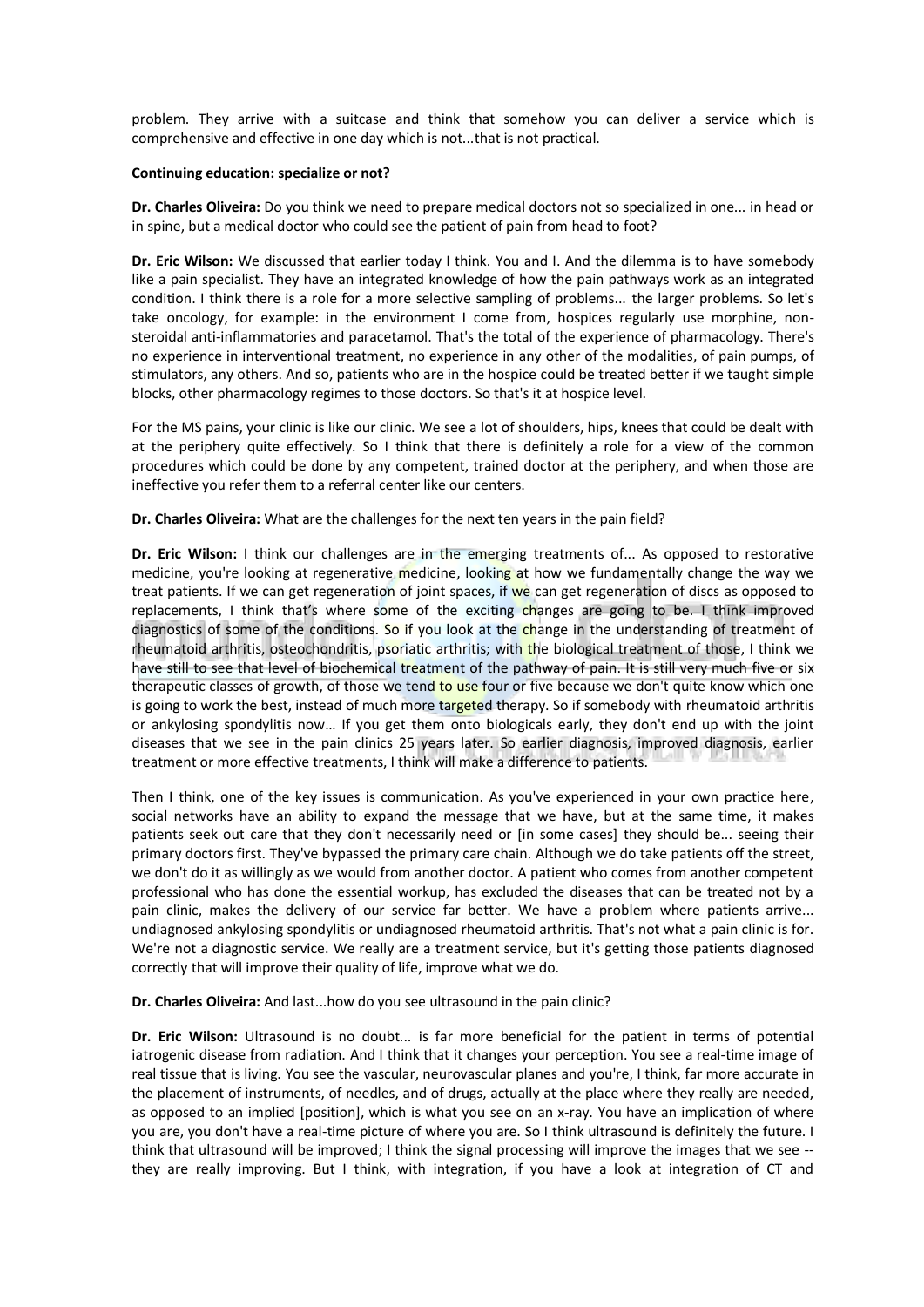problem. They arrive with a suitcase and think that somehow you can deliver a service which is comprehensive and effective in one day which is not...that is not practical.

## **Continuing education: specialize or not?**

**Dr. Charles Oliveira:** Do you think we need to prepare medical doctors not so specialized in one... in head or in spine, but a medical doctor who could see the patient of pain from head to foot?

**Dr. Eric Wilson:** We discussed that earlier today I think. You and I. And the dilemma is to have somebody like a pain specialist. They have an integrated knowledge of how the pain pathways work as an integrated condition. I think there is a role for a more selective sampling of problems... the larger problems. So let's take oncology, for example: in the environment I come from, hospices regularly use morphine, nonsteroidal anti-inflammatories and paracetamol. That's the total of the experience of pharmacology. There's no experience in interventional treatment, no experience in any other of the modalities, of pain pumps, of stimulators, any others. And so, patients who are in the hospice could be treated better if we taught simple blocks, other pharmacology regimes to those doctors. So that's it at hospice level.

For the MS pains, your clinic is like our clinic. We see a lot of shoulders, hips, knees that could be dealt with at the periphery quite effectively. So I think that there is definitely a role for a view of the common procedures which could be done by any competent, trained doctor at the periphery, and when those are ineffective you refer them to a referral center like our centers.

# **Dr. Charles Oliveira:** What are the challenges for the next ten years in the pain field?

**Dr. Eric Wilson:** I think our challenges are in the emerging treatments of... As opposed to restorative medicine, you're looking at regenerative medicine, looking at how we fundamentally change the way we treat patients. If we can get regeneration of joint spaces, if we can get regeneration of discs as opposed to replacements, I think that's where some of the exciting changes are going to be. I think improved diagnostics of some of the conditions. So if you look at the change in the understanding of treatment of rheumatoid arthritis, osteochondritis, psoriatic arthritis; with the biological treatment of those, I think we have still to see that level of biochemical treatment of the pathway of pain. It is still very much five or six therapeutic classes of growth, of those we tend to use four or five because we don't quite know which one is going to work the best, instead of much more targeted therapy. So if somebody with rheumatoid arthritis or ankylosing spondylitis now… If you get them onto biologicals early, they don't end up with the joint diseases that we see in the pain clinics 25 years later. So earlier diagnosis, improved diagnosis, earlier treatment or more effective treatments, I think will make a difference to patients.

Then I think, one of the key issues is communication. As you've experienced in your own practice here, social networks have an ability to expand the message that we have, but at the same time, it makes patients seek out care that they don't necessarily need or [in some cases] they should be... seeing their primary doctors first. They've bypassed the primary care chain. Although we do take patients off the street, we don't do it as willingly as we would from another doctor. A patient who comes from another competent professional who has done the essential workup, has excluded the diseases that can be treated not by a pain clinic, makes the delivery of our service far better. We have a problem where patients arrive... undiagnosed ankylosing spondylitis or undiagnosed rheumatoid arthritis. That's not what a pain clinic is for. We're not a diagnostic service. We really are a treatment service, but it's getting those patients diagnosed correctly that will improve their quality of life, improve what we do.

**Dr. Charles Oliveira:** And last...how do you see ultrasound in the pain clinic?

**Dr. Eric Wilson:** Ultrasound is no doubt... is far more beneficial for the patient in terms of potential iatrogenic disease from radiation. And I think that it changes your perception. You see a real-time image of real tissue that is living. You see the vascular, neurovascular planes and you're, I think, far more accurate in the placement of instruments, of needles, and of drugs, actually at the place where they really are needed, as opposed to an implied [position], which is what you see on an x-ray. You have an implication of where you are, you don't have a real-time picture of where you are. So I think ultrasound is definitely the future. I think that ultrasound will be improved; I think the signal processing will improve the images that we see - they are really improving. But I think, with integration, if you have a look at integration of CT and